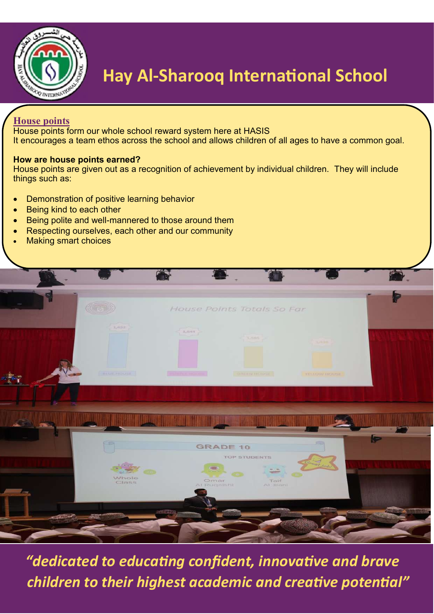

### **Hay Al-Sharooq International School**

#### **House points**

House points form our whole school reward system here at HASIS It encourages a team ethos across the school and allows children of all ages to have a common goal.

#### **How are house points earned?**

House points are given out as a recognition of achievement by individual children. They will include things such as:

- Demonstration of positive learning behavior
- Being kind to each other
- Being polite and well-mannered to those around them
- Respecting ourselves, each other and our community
- Making smart choices



 *"dedicated to educating confident, innovative and brave children to their highest academic and creative potential"*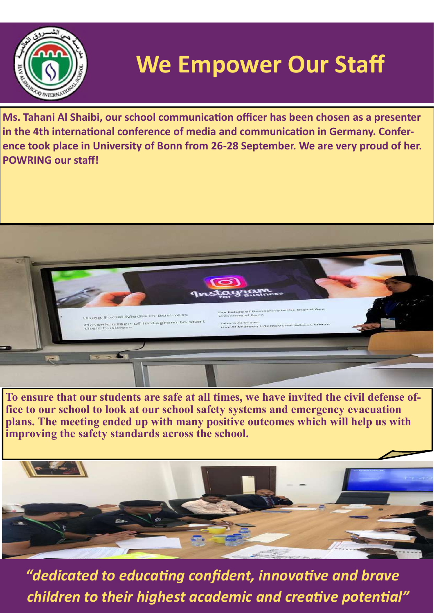

## **We Empower Our Staff**

**Ms. Tahani Al Shaibi, our school communication officer has been chosen as a presenter in the 4th international conference of media and communication in Germany. Conference took place in University of Bonn from 26-28 September. We are very proud of her. POWRING our staff!**



**To ensure that our students are safe at all times, we have invited the civil defense office to our school to look at our school safety systems and emergency evacuation plans. The meeting ended up with many positive outcomes which will help us with improving the safety standards across the school.**



 *"dedicated to educating confident, innovative and brave children to their highest academic and creative potential"*